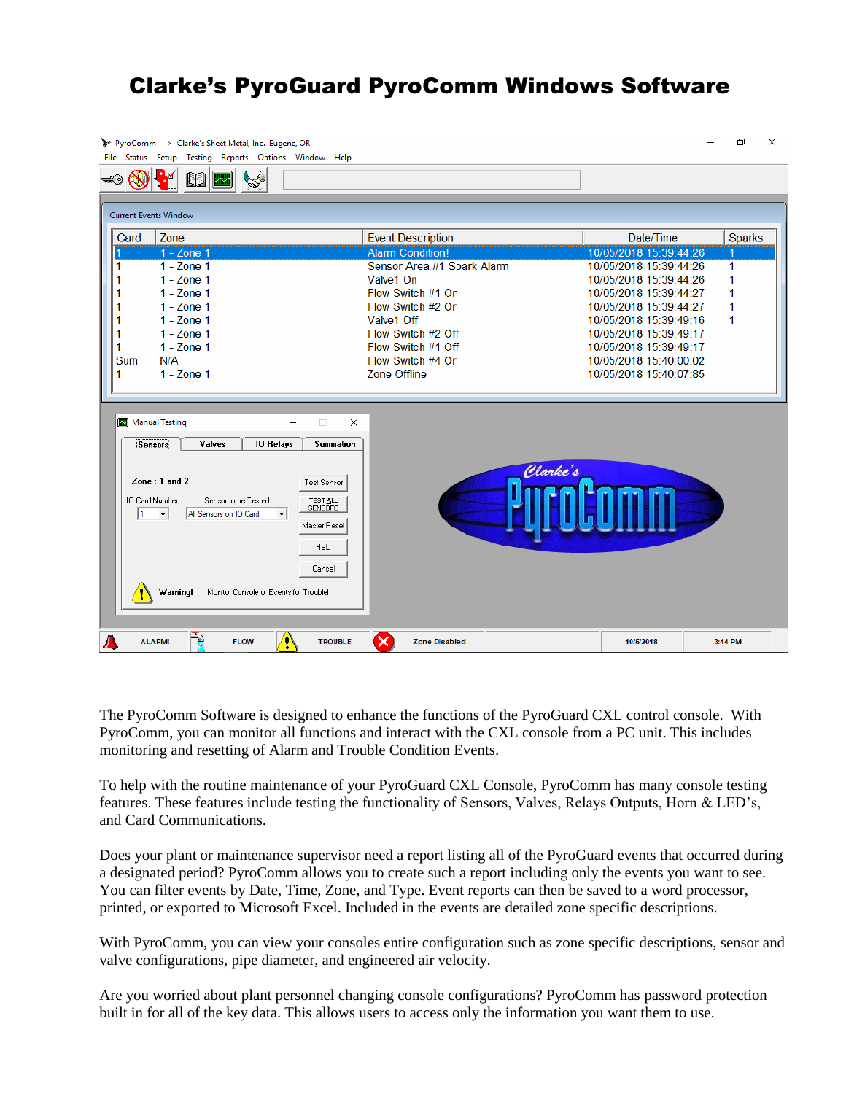## Clarke's PyroGuard PyroComm Windows Software



The PyroComm Software is designed to enhance the functions of the PyroGuard CXL control console. With PyroComm, you can monitor all functions and interact with the CXL console from a PC unit. This includes monitoring and resetting of Alarm and Trouble Condition Events.

To help with the routine maintenance of your PyroGuard CXL Console, PyroComm has many console testing features. These features include testing the functionality of Sensors, Valves, Relays Outputs, Horn & LED's, and Card Communications.

Does your plant or maintenance supervisor need a report listing all of the PyroGuard events that occurred during a designated period? PyroComm allows you to create such a report including only the events you want to see. You can filter events by Date, Time, Zone, and Type. Event reports can then be saved to a word processor, printed, or exported to Microsoft Excel. Included in the events are detailed zone specific descriptions.

With PyroComm, you can view your consoles entire configuration such as zone specific descriptions, sensor and valve configurations, pipe diameter, and engineered air velocity.

Are you worried about plant personnel changing console configurations? PyroComm has password protection built in for all of the key data. This allows users to access only the information you want them to use.